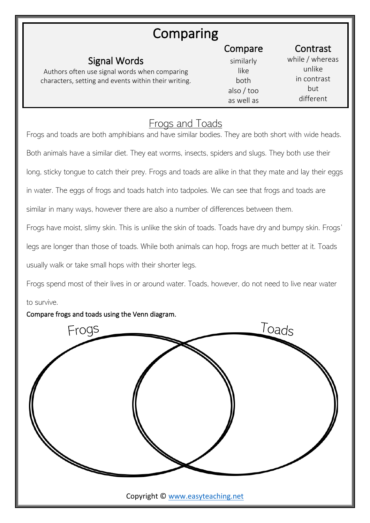# Comparing

| Signal Words<br>Authors often use signal words when comparing<br>characters, setting and events within their writing. | Compare<br>similarly<br>like<br>both<br>also / too<br>as well as | Contrast<br>while / whereas<br>unlike<br>in contrast<br>but<br>different |
|-----------------------------------------------------------------------------------------------------------------------|------------------------------------------------------------------|--------------------------------------------------------------------------|
|                                                                                                                       |                                                                  |                                                                          |

### Frogs and Toads

Frogs and toads are both amphibians and have similar bodies. They are both short with wide heads. Both animals have a similar diet. They eat worms, insects, spiders and slugs. They both use their long, sticky tongue to catch their prey. Frogs and toads are alike in that they mate and lay their eggs in water. The eggs of frogs and toads hatch into tadpoles. We can see that frogs and toads are similar in many ways, however there are also a number of differences between them. Frogs have moist, slimy skin. This is unlike the skin of toads. Toads have dry and bumpy skin. Frogs' legs are longer than those of toads. While both animals can hop, frogs are much better at it. Toads

usually walk or take small hops with their shorter legs.

Frogs spend most of their lives in or around water. Toads, however, do not need to live near water

#### to survive.